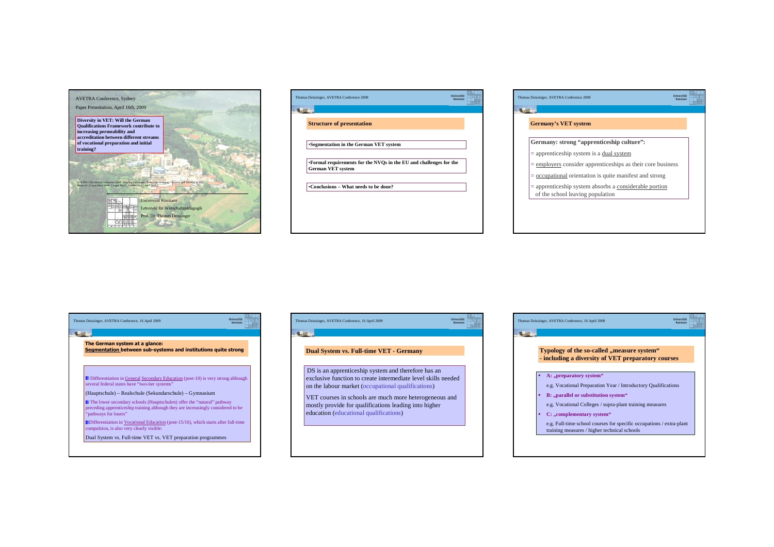

| <b>Universität</b><br>Thomas Deissinger, AVETRA Conference 2009<br>Konstanz                    |  |
|------------------------------------------------------------------------------------------------|--|
|                                                                                                |  |
| <b>Structure of presentation</b>                                                               |  |
| *Segmentation in the German VET system                                                         |  |
| •Formal requirements for the NVOs in the EU and challenges for the<br><b>German VET system</b> |  |
| •Conclusions – What needs to be done?                                                          |  |
|                                                                                                |  |
|                                                                                                |  |

| Thomas Deissinger, AVETRA Conference 2009                                                    | <b>Universität</b><br>Konstanz |  |
|----------------------------------------------------------------------------------------------|--------------------------------|--|
|                                                                                              |                                |  |
| <b>Germany's VET system</b>                                                                  |                                |  |
| Germany: strong "apprenticeship culture":                                                    |                                |  |
| $=$ apprenticeship system is a dual system                                                   |                                |  |
| $=$ employers consider apprenticeships as their core business                                |                                |  |
| $=$ occupational orientation is quite manifest and strong                                    |                                |  |
| $=$ apprenticeship system absorbs a considerable portion<br>of the school leaving population |                                |  |

| The German system at a glance:<br>Segmentation between sub-systems and institutions quite strong                                                                                     |  |
|--------------------------------------------------------------------------------------------------------------------------------------------------------------------------------------|--|
| <b>Differentiation in General Secondary Education</b> (post-10) is very strong although<br>several federal states have "two-tier systems"                                            |  |
| (Hauptschule) – Realschule (Sekundarschule) – Gymnasium                                                                                                                              |  |
| The lower secondary schools (Hauptschulen) offer the "natural" pathway<br>preceding apprenticeship training although they are increasingly considered to be<br>"pathways for losers" |  |
| Differentiation in Vocational Education (post-15/16), which starts after full-time<br>compulsion, is also very clearly visible:                                                      |  |
| Dual System vs. Full-time VET vs. VET preparation programmes                                                                                                                         |  |



| Typology of the so-called "measure system"<br>- including a diversity of VET preparatory courses |                                                                                                                      |  |  |  |
|--------------------------------------------------------------------------------------------------|----------------------------------------------------------------------------------------------------------------------|--|--|--|
|                                                                                                  | A: "preparatory system"                                                                                              |  |  |  |
|                                                                                                  | e.g. Vocational Preparation Year / Introductory Qualifications                                                       |  |  |  |
| ٠                                                                                                | B: "parallel or substitution system"                                                                                 |  |  |  |
|                                                                                                  | e.g. Vocational Colleges / supra-plant training measures                                                             |  |  |  |
| ٠                                                                                                | C: "complementary system"                                                                                            |  |  |  |
|                                                                                                  | e.g. Full-time school courses for specific occupations / extra-plant<br>training measures / higher technical schools |  |  |  |